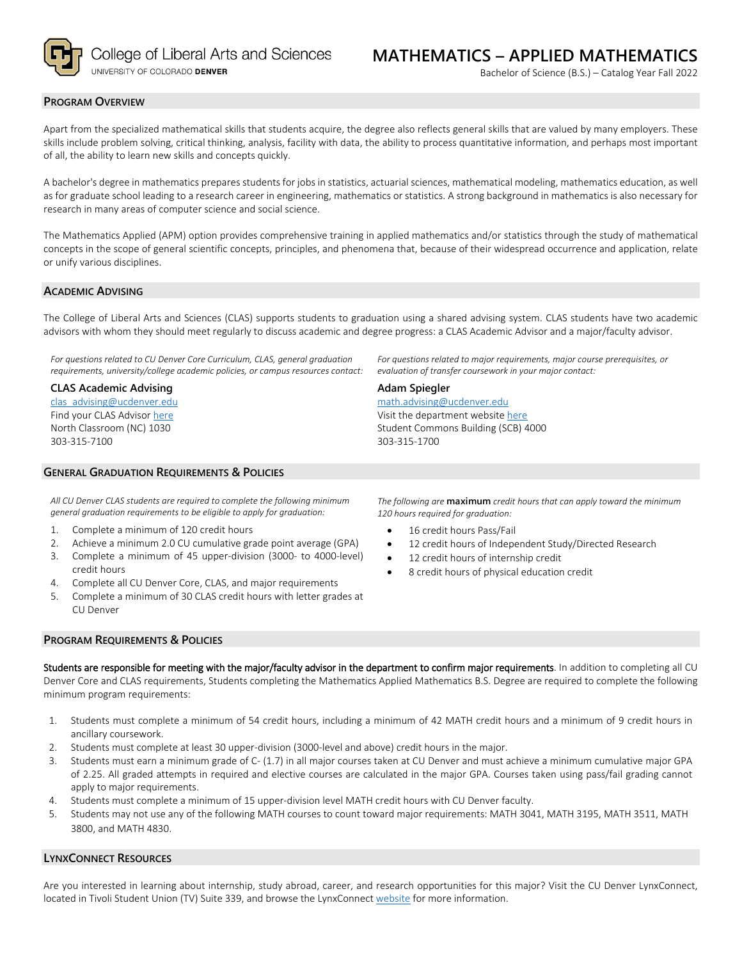

College of Liberal Arts and Sciences UNIVERSITY OF COLORADO DENVER

### **PROGRAM OVERVIEW**

Apart from the specialized mathematical skills that students acquire, the degree also reflects general skills that are valued by many employers. These skills include problem solving, critical thinking, analysis, facility with data, the ability to process quantitative information, and perhaps most important of all, the ability to learn new skills and concepts quickly.

A bachelor's degree in mathematics prepares students for jobs in statistics, actuarial sciences, mathematical modeling, mathematics education, as well as for graduate school leading to a research career in engineering, mathematics or statistics. A strong background in mathematics is also necessary for research in many areas of computer science and social science.

The Mathematics Applied (APM) option provides comprehensive training in applied mathematics and/or statistics through the study of mathematical concepts in the scope of general scientific concepts, principles, and phenomena that, because of their widespread occurrence and application, relate or unify various disciplines.

#### **ACADEMIC ADVISING**

The College of Liberal Arts and Sciences (CLAS) supports students to graduation using a shared advising system. CLAS students have two academic advisors with whom they should meet regularly to discuss academic and degree progress: a CLAS Academic Advisor and a major/faculty advisor.

*For questions related to CU Denver Core Curriculum, CLAS, general graduation requirements, university/college academic policies, or campus resources contact:*

**CLAS Academic Advising** [clas\\_advising@ucdenver.edu](mailto:clas_advising@ucdenver.edu) Find your CLAS Adviso[r here](https://clas.ucdenver.edu/advising/) North Classroom (NC) 1030 303-315-7100

## **GENERAL GRADUATION REQUIREMENTS & POLICIES**

*All CU Denver CLAS students are required to complete the following minimum general graduation requirements to be eligible to apply for graduation:*

- 1. Complete a minimum of 120 credit hours
- 2. Achieve a minimum 2.0 CU cumulative grade point average (GPA)
- 3. Complete a minimum of 45 upper-division (3000- to 4000-level) credit hours
- 4. Complete all CU Denver Core, CLAS, and major requirements
- 5. Complete a minimum of 30 CLAS credit hours with letter grades at CU Denver

*For questions related to major requirements, major course prerequisites, or evaluation of transfer coursework in your major contact:*

#### **Adam Spiegler**

[math.advising@ucdenver.edu](mailto:math.advising@ucdenver.edu) Visit the department websit[e here](https://clas.ucdenver.edu/mathematical-and-statistical-sciences/) Student Commons Building (SCB) 4000 303-315-1700

*The following are* **maximum** *credit hours that can apply toward the minimum 120 hours required for graduation:*

- 16 credit hours Pass/Fail
- 12 credit hours of Independent Study/Directed Research
- 12 credit hours of internship credit
- 8 credit hours of physical education credit

## **PROGRAM REQUIREMENTS & POLICIES**

Students are responsible for meeting with the major/faculty advisor in the department to confirm major requirements. In addition to completing all CU Denver Core and CLAS requirements, Students completing the Mathematics Applied Mathematics B.S. Degree are required to complete the following minimum program requirements:

- 1. Students must complete a minimum of 54 credit hours, including a minimum of 42 MATH credit hours and a minimum of 9 credit hours in ancillary coursework.
- 2. Students must complete at least 30 upper-division (3000-level and above) credit hours in the major.
- 3. Students must earn a minimum grade of C- (1.7) in all major courses taken at CU Denver and must achieve a minimum cumulative major GPA of 2.25. All graded attempts in required and elective courses are calculated in the major GPA. Courses taken using pass/fail grading cannot apply to major requirements.
- 4. Students must complete a minimum of 15 upper-division level MATH credit hours with CU Denver faculty.
- 5. Students may not use any of the following MATH courses to count toward major requirements: MATH 3041, MATH 3195, MATH 3511, MATH 3800, and MATH 4830.

#### **LYNXCONNECT RESOURCES**

Are you interested in learning about internship, study abroad, career, and research opportunities for this major? Visit the CU Denver LynxConnect, located in Tivoli Student Union (TV) Suite 339, and browse the LynxConnec[t website](http://www.ucdenver.edu/lynxconnect/Pages/default.aspx) for more information.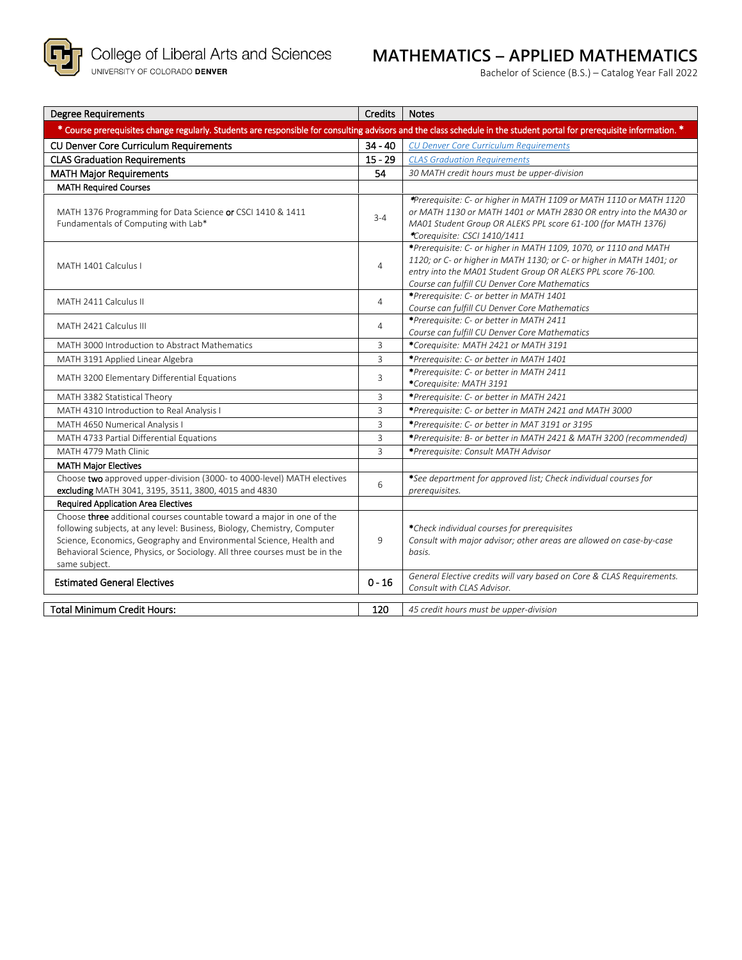

# **MATHEMATICS – APPLIED MATHEMATICS**

Bachelor of Science (B.S.) – Catalog Year Fall 2022

| <b>Degree Requirements</b>                                                                                                                                                                                                                                                                                                | Credits        | <b>Notes</b>                                                                                                                                                                                                                                              |  |  |  |  |
|---------------------------------------------------------------------------------------------------------------------------------------------------------------------------------------------------------------------------------------------------------------------------------------------------------------------------|----------------|-----------------------------------------------------------------------------------------------------------------------------------------------------------------------------------------------------------------------------------------------------------|--|--|--|--|
| * Course prerequisites change regularly. Students are responsible for consulting advisors and the class schedule in the student portal for prerequisite information. *                                                                                                                                                    |                |                                                                                                                                                                                                                                                           |  |  |  |  |
| CU Denver Core Curriculum Requirements                                                                                                                                                                                                                                                                                    | $34 - 40$      | <b>CU Denver Core Curriculum Requirements</b>                                                                                                                                                                                                             |  |  |  |  |
| <b>CLAS Graduation Requirements</b>                                                                                                                                                                                                                                                                                       | $15 - 29$      | <b>CLAS Graduation Requirements</b>                                                                                                                                                                                                                       |  |  |  |  |
| <b>MATH Major Requirements</b>                                                                                                                                                                                                                                                                                            | 54             | 30 MATH credit hours must be upper-division                                                                                                                                                                                                               |  |  |  |  |
| <b>MATH Required Courses</b>                                                                                                                                                                                                                                                                                              |                |                                                                                                                                                                                                                                                           |  |  |  |  |
| MATH 1376 Programming for Data Science or CSCI 1410 & 1411<br>Fundamentals of Computing with Lab*                                                                                                                                                                                                                         | $3 - 4$        | *Prerequisite: C- or higher in MATH 1109 or MATH 1110 or MATH 1120<br>or MATH 1130 or MATH 1401 or MATH 2830 OR entry into the MA30 or<br>MA01 Student Group OR ALEKS PPL score 61-100 (for MATH 1376)<br>*Corequisite: CSCI 1410/1411                    |  |  |  |  |
| MATH 1401 Calculus I                                                                                                                                                                                                                                                                                                      | $\overline{4}$ | *Prerequisite: C- or higher in MATH 1109, 1070, or 1110 and MATH<br>1120; or C- or higher in MATH 1130; or C- or higher in MATH 1401; or<br>entry into the MA01 Student Group OR ALEKS PPL score 76-100.<br>Course can fulfill CU Denver Core Mathematics |  |  |  |  |
| MATH 2411 Calculus II                                                                                                                                                                                                                                                                                                     | $\overline{4}$ | *Prerequisite: C- or better in MATH 1401<br>Course can fulfill CU Denver Core Mathematics                                                                                                                                                                 |  |  |  |  |
| MATH 2421 Calculus III                                                                                                                                                                                                                                                                                                    | $\overline{4}$ | *Prerequisite: C- or better in MATH 2411<br>Course can fulfill CU Denver Core Mathematics                                                                                                                                                                 |  |  |  |  |
| MATH 3000 Introduction to Abstract Mathematics                                                                                                                                                                                                                                                                            | 3              | *Corequisite: MATH 2421 or MATH 3191                                                                                                                                                                                                                      |  |  |  |  |
| MATH 3191 Applied Linear Algebra                                                                                                                                                                                                                                                                                          | 3              | *Prerequisite: C- or better in MATH 1401                                                                                                                                                                                                                  |  |  |  |  |
| MATH 3200 Elementary Differential Equations                                                                                                                                                                                                                                                                               | 3              | *Prerequisite: C- or better in MATH 2411<br>*Corequisite: MATH 3191                                                                                                                                                                                       |  |  |  |  |
| MATH 3382 Statistical Theory                                                                                                                                                                                                                                                                                              | 3              | *Prerequisite: C- or better in MATH 2421                                                                                                                                                                                                                  |  |  |  |  |
| MATH 4310 Introduction to Real Analysis I                                                                                                                                                                                                                                                                                 | 3              | *Prerequisite: C- or better in MATH 2421 and MATH 3000                                                                                                                                                                                                    |  |  |  |  |
| MATH 4650 Numerical Analysis I                                                                                                                                                                                                                                                                                            | 3              | *Prerequisite: C- or better in MAT 3191 or 3195                                                                                                                                                                                                           |  |  |  |  |
| MATH 4733 Partial Differential Equations                                                                                                                                                                                                                                                                                  | 3              | *Prerequisite: B- or better in MATH 2421 & MATH 3200 (recommended)                                                                                                                                                                                        |  |  |  |  |
| MATH 4779 Math Clinic                                                                                                                                                                                                                                                                                                     | $\overline{3}$ | *Prerequisite: Consult MATH Advisor                                                                                                                                                                                                                       |  |  |  |  |
| <b>MATH Major Electives</b>                                                                                                                                                                                                                                                                                               |                |                                                                                                                                                                                                                                                           |  |  |  |  |
| Choose two approved upper-division (3000- to 4000-level) MATH electives<br>excluding MATH 3041, 3195, 3511, 3800, 4015 and 4830                                                                                                                                                                                           | 6              | *See department for approved list; Check individual courses for<br>prerequisites.                                                                                                                                                                         |  |  |  |  |
| <b>Required Application Area Electives</b>                                                                                                                                                                                                                                                                                |                |                                                                                                                                                                                                                                                           |  |  |  |  |
| Choose three additional courses countable toward a major in one of the<br>following subjects, at any level: Business, Biology, Chemistry, Computer<br>Science, Economics, Geography and Environmental Science, Health and<br>Behavioral Science, Physics, or Sociology. All three courses must be in the<br>same subject. | 9              | *Check individual courses for prerequisites<br>Consult with major advisor; other areas are allowed on case-by-case<br>basis.                                                                                                                              |  |  |  |  |
| <b>Estimated General Electives</b>                                                                                                                                                                                                                                                                                        | $0 - 16$       | General Elective credits will vary based on Core & CLAS Requirements.<br>Consult with CLAS Advisor.                                                                                                                                                       |  |  |  |  |
| <b>Total Minimum Credit Hours:</b>                                                                                                                                                                                                                                                                                        | 120            | 45 credit hours must be upper-division                                                                                                                                                                                                                    |  |  |  |  |